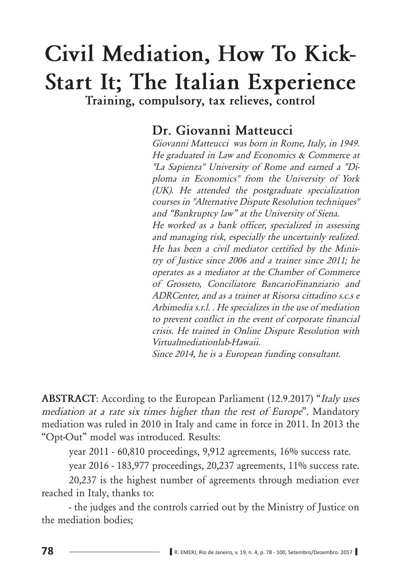# Civil Mediation, How To Kick-**Start It; The Italian Experience** Training, compulsory, tax relieves, control

## Dr. Giovanni Matteucci

Giovanni Matteucci was born in Rome. Italy, in 1949. *He graduated in Law and Economics & Commerce at "La Sapienza" University of Rome and earned a "Di*ploma in Economics" from the University of York *(UK). He attended the postgraduate specialization <i>COUTSES in "Alternative Dispute Resolution techniques"* and "Bankruptcy law" at the University of Siena. He worked as a bank officer, specialized in assessing and managing risk, especially the uncertainly realized. He has been a civil mediator certified by the Minis*try of Justice since 2006 and a trainer since 2011; he* operates as a mediator at the Chamber of Commerce of Grosseto, Conciliatore BancarioFinanziario and *ADRCenter, and as a trainer at Risorsa cittadino s.c.s e* Arbimedia s.r.l. . He specializes in the use of mediation to prevent conflict in the event of corporate financial crisis. He trained in Online Dispute Resolution with *Virtualmediationlab-Hawaii. Since 2014, he is a European funding consultant.* 

**ABSTRACT:** According to the European Parliament (12.9.2017) "Italy uses *PHGLADED mediation at a rate six times higher than the rest of Europe*". Mandatory mediation was ruled in 2010 in Italy and came in force in 2011. In 2013 the "Opt-Out" model was introduced. Results:

year 2011 - 60,810 proceedings, 9,912 agreements, 16% success rate.

vear 2016 - 183,977 proceedings, 20,237 agreements, 11% success rate.

20,237 is the highest number of agreements through mediation ever reached in Italy, thanks to:

- the judges and the controls carried out by the Ministry of Justice on the mediation bodies: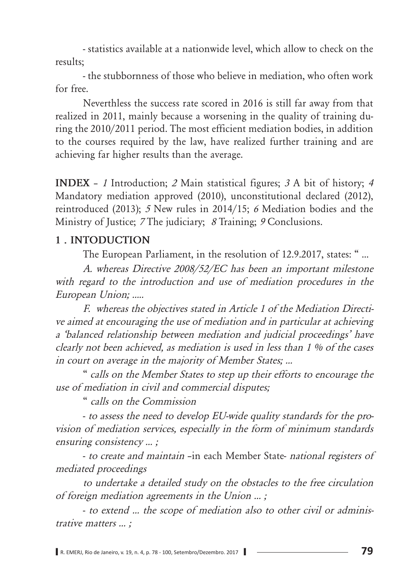- statistics available at a nationwide level, which allow to check on the results:

- the stubbornness of those who believe in mediation, who often work for free.

Neverthless the success rate scored in 2016 is still far away from that realized in 2011, mainly because a worsening in the quality of training during the 2010/2011 period. The most efficient mediation bodies, in addition to the courses required by the law, have realized further training and are achieving far higher results than the average.

INDEX - 1 Introduction; 2 Main statistical figures; 3 A bit of history; 4 Mandatory mediation approved (2010), unconstitutional declared (2012), reintroduced (2013); 5 New rules in 2014/15; 6 Mediation bodies and the Ministry of Justice; 7 The judiciary; 8 Training; 9 Conclusions.

#### 1. INTODUCTION

The European Parliament, in the resolution of 12.9.2017, states: "...

A. whereas Directive 2008/52/EC has been an important milestone with regard to the introduction and use of mediation procedures in the European Union; .....

F. whereas the objectives stated in Article 1 of the Mediation Directive aimed at encouraging the use of mediation and in particular at achieving a 'balanced relationship between mediation and judicial proceedings' have clearly not been achieved, as mediation is used in less than 1 % of the cases in court on average in the majority of Member States; ...

" calls on the Member States to step up their efforts to encourage the use of mediation in civil and commercial disputes;

" calls on the Commission

- to assess the need to develop EU-wide quality standards for the provision of mediation services, especially in the form of minimum standards ensuring consistency ...;

- to create and maintain -in each Member State- national registers of mediated proceedings

to undertake a detailed study on the obstacles to the free circulation of foreign mediation agreements in the Union ...;

- to extend ... the scope of mediation also to other civil or administrative matters ...;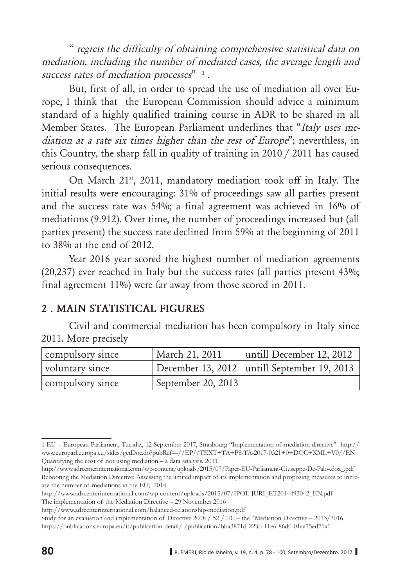*<sup>4</sup>* regrets the difficulty of obtaining comprehensive statistical data on *mediation, including the number of mediated cases, the average length and success rates of mediation processes*"<sup>1</sup>.

But, first of all, in order to spread the use of mediation all over Europe, I think that the European Commission should advice a minimum standard of a highly qualified training course in ADR to be shared in all Member States. The European Parliament underlines that "Italy uses me*diation at a rate six times higher than the rest of Europe*"; neverthless, in this Country, the sharp fall in quality of training in 2010 / 2011 has caused serious consequences.

On March 21<sup>st</sup>, 2011, mandatory mediation took off in Italy. The initial results were encouraging: 31% of proceedings saw all parties present and the success rate was 54%; a final agreement was achieved in 16% of mediations (9.912). Over time, the number of proceedings increased but (all parties present) the success rate declined from 59% at the beginning of 2011 to  $38\%$  at the end of 2012.

Year 2016 year scored the highest number of mediation agreements  $(20,237)$  ever reached in Italy but the success rates (all parties present 43%; final agreement  $11\%$ ) were far away from those scored in 2011.

#### **2. MAIN STATISTICAL FIGURES**

Civil and commercial mediation has been compulsory in Italy since 2011. More precisely

| compulsory since | March 21, 2011     | untill December 12, 2012                      |
|------------------|--------------------|-----------------------------------------------|
| voluntary since  |                    | December 13, 2012   untill September 19, 2013 |
| compulsory since | September 20, 2013 |                                               |

<sup>1</sup> EU - European Parliament, Tuesday, 12 September 2017, Strasbourg "Implementation of mediation directive" http:// www.europarl.europa.eu/sides/getDoc.do?pubRef=-//EP//TEXT+TA+P8-TA-2017-0321+0+DOC+XML+V0//EN Quantifying the cost of not using mediation  $-$  a data analysis. 2011

http://www.adrcenterinternational.com/wp-content/uploads/2015/07/Paper-EU-Parliament-Giuseppe-De-Palo-.dox\_.pdf Rebooting the Mediation Directive: Assessing the limited impact of its implementation and proposing measures to increase the number of mediations in the EU; 2014

http://www.adrcenterinternational.com/wp-content/uploads/2015/07/IPOL-JURI\_ET2014493042\_EN.pdf The implementation of the Mediation Directive – 29 November 2016

http://www.adrcenterinternational.com/balanced-relationship-mediation.pdf

Study for an evaluation and implementation of Directive 2008 / 52 / EC – the "Mediation Directive – 2013/2016 https://publications.europa.eu/it/publication-detail/-/publication/bba3871d-223b-11e6-86d0-01aa75ed71a1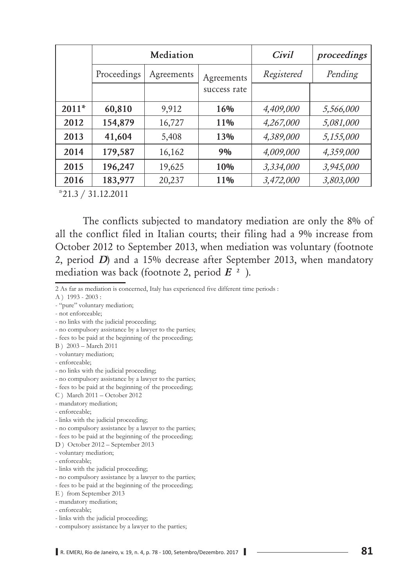|         | Mediation   |            |              | Civil      | proceedings |
|---------|-------------|------------|--------------|------------|-------------|
|         | Proceedings | Agreements | Agreements   | Registered | Pending     |
|         |             |            | success rate |            |             |
| $2011*$ | 60,810      | 9,912      | 16%          | 4,409,000  | 5,566,000   |
| 2012    | 154,879     | 16,727     | 11%          | 4,267,000  | 5,081,000   |
| 2013    | 41,604      | 5,408      | 13%          | 4,389,000  | 5,155,000   |
| 2014    | 179,587     | 16,162     | 9%           | 4,009,000  | 4,359,000   |
| 2015    | 196,247     | 19,625     | 10%          | 3,334,000  | 3,945,000   |
| 2016    | 183,977     | 20,237     | 11%          | 3,472,000  | 3,803,000   |

 $*21.3 / 31.12.2011$ 

The conflicts subjected to mandatory mediation are only the 8% of all the conflict filed in Italian courts; their filing had a 9% increase from October 2012 to September 2013, when mediation was voluntary (footnote 2, period *D*) and a 15% decrease after September 2013, when mandatory mediation was back (footnote 2, period  $E^{2}$ ).

2 As far as mediation is concerned, Italy has experienced five different time periods :

A ) 1993 - 2003 :

- "pure" voluntary mediation;

- not enforceable;

- no links with the judicial proceeding;

- no compulsory assistance by a lawyer to the parties;

- fees to be paid at the beginning of the proceeding;

B) 2003 - March 2011

- voluntary mediation;

- enforceable;

- no links with the judicial proceeding;

- no compulsory assistance by a lawyer to the parties;

- fees to be paid at the beginning of the proceeding;

C ) March 2011 – October 2012

- mandatory mediation;

- enforceable;

- links with the judicial proceeding;

- no compulsory assistance by a lawyer to the parties;

- fees to be paid at the beginning of the proceeding;

D ) October 2012 – September 2013

- voluntary mediation;

- enforceable;

- links with the judicial proceeding;

- no compulsory assistance by a lawyer to the parties;

- fees to be paid at the beginning of the proceeding;

E ) from September 2013

- mandatory mediation;

- enforceable;

- links with the judicial proceeding;

- compulsory assistance by a lawyer to the parties;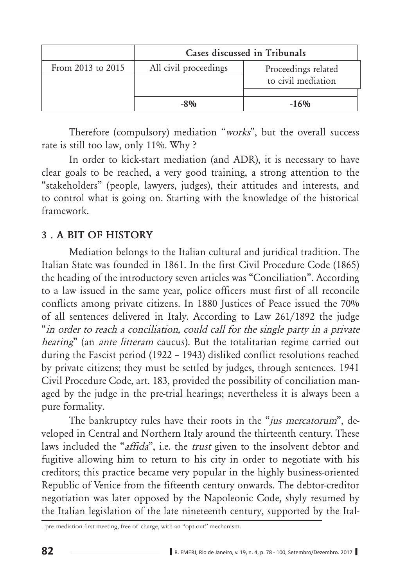| Cases discussed in Tribunals |                                           |  |  |
|------------------------------|-------------------------------------------|--|--|
| All civil proceedings        | Proceedings related<br>to civil mediation |  |  |
| $-8%$                        | $-16%$                                    |  |  |
|                              |                                           |  |  |

Therefore (compulsory) mediation "works", but the overall success rate is still too law, only 11%. Why?

In order to kick-start mediation (and ADR), it is necessary to have clear goals to be reached, a very good training, a strong attention to the "stakeholders" (people, lawyers, judges), their attitudes and interests, and to control what is going on. Starting with the knowledge of the historical framework.

## **3. A BIT OF HISTORY**

Mediation belongs to the Italian cultural and juridical tradition. The Italian State was founded in 1861. In the first Civil Procedure Code (1865) the heading of the introductory seven articles was "Conciliation". According to a law issued in the same year, police officers must first of all reconcile conflicts among private citizens. In 1880 Justices of Peace issued the 70% of all sentences delivered in Italy. According to Law 261/1892 the judge "in order to reach a conciliation, could call for the single party in a private *hearing*" (an *ante litteram* caucus). But the totalitarian regime carried out during the Fascist period (1922 – 1943) disliked conflict resolutions reached by private citizens; they must be settled by judges, through sentences. 1941 Civil Procedure Code, art. 183, provided the possibility of conciliation managed by the judge in the pre-trial hearings; nevertheless it is always been a pure formality.

The bankruptcy rules have their roots in the "jus mercatorum", developed in Central and Northern Italy around the thirteenth century. These laws included the "*affida*", i.e. the *trust* given to the insolvent debtor and fugitive allowing him to return to his city in order to negotiate with his creditors; this practice became very popular in the highly business-oriented Republic of Venice from the fifteenth century onwards. The debtor-creditor negotiation was later opposed by the Napoleonic Code, shyly resumed by the Italian legislation of the late nineteenth century, supported by the Ital-

<sup>-</sup> pre-mediation first meeting, free of charge, with an "opt out" mechanism.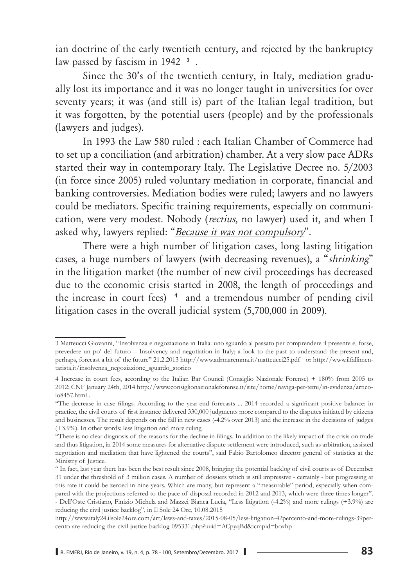ian doctrine of the early twentieth century, and rejected by the bankruptcy law passed by fascism in 1942<sup>3</sup>.

Since the 30's of the twentieth century, in Italy, mediation gradually lost its importance and it was no longer taught in universities for over seventy years; it was (and still is) part of the Italian legal tradition, but it was forgotten, by the potential users (people) and by the professionals (lawyers and judges).

In 1993 the Law 580 ruled : each Italian Chamber of Commerce had to set up a conciliation (and arbitration) chamber. At a very slow pace ADRs started their way in contemporary Italy. The Legislative Decree no. 5/2003 (in force since 2005) ruled voluntary mediation in corporate, financial and banking controversies. Mediation bodies were ruled; lawyers and no lawyers could be mediators. Specific training requirements, especially on communication, were very modest. Nobody (*rectius*, no lawyer) used it, and when I asked why, lawyers replied: "Because it was not compulsory".

There were a high number of litigation cases, long lasting litigation cases, a huge numbers of lawyers (with decreasing revenues), a "*shrinking*" in the litigation market (the number of new civil proceedings has decreased due to the economic crisis started in 2008, the length of proceedings and the increase in court fees)<sup>4</sup> and a tremendous number of pending civil litigation cases in the overall judicial system  $(5,700,000 \text{ in } 2009)$ .

<sup>3</sup> Matteucci Giovanni, "Insolvenza e negoziazione in Italia: uno sguardo al passato per comprendere il presente e, forse, prevedere un po' del futuro – Insolvency and negotiation in Italy; a look to the past to understand the present and, perhaps, forecast a bit of the future" 21.2.2013 http://www.adrmaremma.it/matteucci25.pdf or http://www.ilfallimentarista.it/insolvenza\_negoziazione\_sguardo\_storico

<sup>4</sup> Increase in court fees, according to the Italian Bar Council (Consiglio Nazionale Forense) + 180% from 2005 to 2012; CNF January 24th, 2014 http://www.consiglionazionaleforense.it/site/home/naviga-per-temi/in-evidenza/articolo8457.html .

<sup>&</sup>quot;The decrease in case filings. According to the year-end forecasts ... 2014 recorded a significant positive balance: in practice, the civil courts of first instance delivered 330,000 judgments more compared to the disputes initiated by citizens and businesses. The result depends on the fall in new cases (-4.2% over 2013) and the increase in the decisions of judges (+3.9%). In other words: less litigation and more ruling.

<sup>&</sup>quot;There is no clear diagnosis of the reasons for the decline in filings. In addition to the likely impact of the crisis on trade and thus litigation, in 2014 some measures for alternative dispute settlement were introduced, such as arbitration, assisted negotiation and mediation that have lightened the courts", said Fabio Bartolomeo director general of statistics at the Ministry of Justice.

<sup>&</sup>quot; In fact, last year there has been the best result since 2008, bringing the potential backlog of civil courts as of December 31 under the threshold of 3 million cases. A number of dossiers which is still impressive - certainly - but progressing at this rate it could be zeroed in nine years. Which are many, but represent a "measurable" period, especially when compared with the projections referred to the pace of disposal recorded in 2012 and 2013, which were three times longer". - Dell'Oste Cristiano, Finizio Michela and Mazzei Bianca Lucia, "Less litigation (-4.2%) and more rulings (+3.9%) are reducing the civil justice backlog", in Il Sole 24 Ore, 10.08.2015

http://www.italy24.ilsole24ore.com/art/laws-and-taxes/2015-08-05/less-litigation-42percento-and-more-rulings-39percento-are-reducing-the-civil-justice-backlog-095331.php?uuid=ACpyqBd&icmpid=boxhp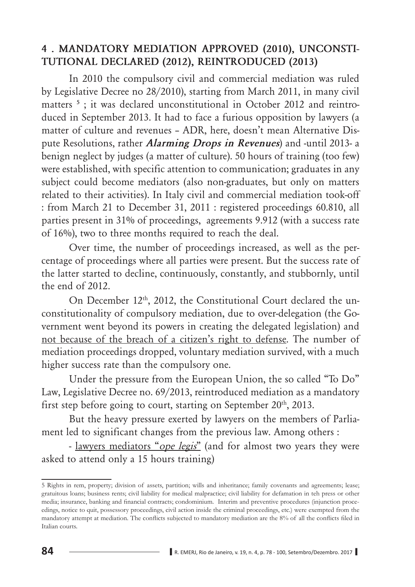### 4 . MANDATORY MEDIATION APPROVED (2010), UNCONSTI-TUTIONAL DECLARED (2012), REINTRODUCED (2013)

In 2010 the compulsory civil and commercial mediation was ruled by Legislative Decree no 28/2010), starting from March 2011, in many civil matters<sup>5</sup>: it was declared unconstitutional in October 2012 and reintroduced in September 2013. It had to face a furious opposition by lawyers (a matter of culture and revenues - ADR, here, doesn't mean Alternative Dispute Resolutions, rather *Alarming Drops in Revenues*) and -until 2013- a benign neglect by judges (a matter of culture). 50 hours of training (too few) were established, with specific attention to communication; graduates in any subject could become mediators (also non-graduates, but only on matters related to their activities). In Italy civil and commercial mediation took-off : from March 21 to December 31, 2011 : registered proceedings 60.810, all parties present in 31% of proceedings, agreements 9.912 (with a success rate of 16%), two to three months required to reach the deal.

Over time, the number of proceedings increased, as well as the percentage of proceedings where all parties were present. But the success rate of the latter started to decline, continuously, constantly, and stubbornly, until the end of 2012.

On December 12th, 2012, the Constitutional Court declared the unconstitutionality of compulsory mediation, due to over-delegation (the Government went beyond its powers in creating the delegated legislation) and not because of the breach of a citizen's right to defense. The number of mediation proceedings dropped, voluntary mediation survived, with a much higher success rate than the compulsory one.

Under the pressure from the European Union, the so called "To Do" Law, Legislative Decree no. 69/2013, reintroduced mediation as a mandatory first step before going to court, starting on September 20<sup>th</sup>, 2013.

But the heavy pressure exerted by lawyers on the members of Parliament led to significant changes from the previous law. Among others :

- lawyers mediators "ope legis" (and for almost two years they were asked to attend only a 15 hours training)

<sup>5</sup> Rights in rem, property; division of assets, partition; wills and inheritance; family covenants and agreements; lease; gratuitous loans; business rents; civil liability for medical malpractice; civil liability for defamation in teh press or other media; insurance, banking and financial contracts; condominium. Interim and preventive procedures (injunction proceedings, notice to quit, possessory proceedings, civil action inside the criminal proceedings, etc.) were exempted from the mandatory attempt at mediation. The conflicts subjected to mandatory mediation are the 8% of all the conflicts filed in Italian courts.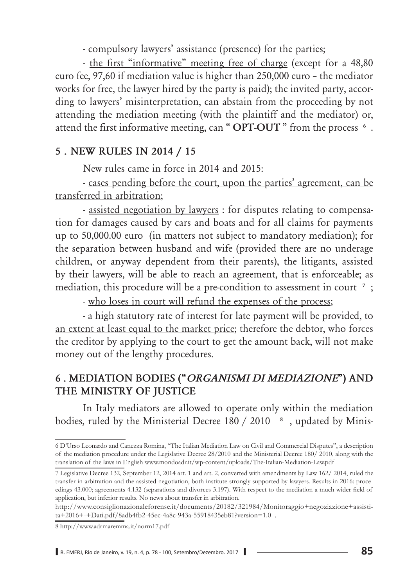- compulsory lawyers' assistance (presence) for the parties;

- the first "informative" meeting free of charge (except for a 48,80) euro fee, 97,60 if mediation value is higher than 250,000 euro - the mediator works for free, the lawyer hired by the party is paid); the invited party, according to lawyers' misinterpretation, can abstain from the proceeding by not attending the mediation meeting (with the plaintiff and the mediator) or, attend the first informative meeting, can "OPT-OUT" from the process <sup>6</sup>.

## 5. NEW RULES IN 2014 / 15

New rules came in force in 2014 and 2015:

- cases pending before the court, upon the parties' agreement, can be transferred in arbitration;

- assisted negotiation by lawyers: for disputes relating to compensation for damages caused by cars and boats and for all claims for payments up to 50,000.00 euro (in matters not subject to mandatory mediation); for the separation between husband and wife (provided there are no underage children, or anyway dependent from their parents), the litigants, assisted by their lawyers, will be able to reach an agreement, that is enforceable; as mediation, this procedure will be a pre-condition to assessment in court <sup>7</sup>;

- who loses in court will refund the expenses of the process;

- a high statutory rate of interest for late payment will be provided, to an extent at least equal to the market price; therefore the debtor, who forces the creditor by applying to the court to get the amount back, will not make money out of the lengthy procedures.

## 6. MEDIATION BODIES ("ORGANISMI DI MEDIAZIONE") AND THE MINISTRY OF JUSTICE

In Italy mediators are allowed to operate only within the mediation bodies, ruled by the Ministerial Decree 180 / 2010 <sup>8</sup>, updated by Minis-

<sup>6</sup> D'Urso Leonardo and Canezza Romina, "The Italian Mediation Law on Civil and Commercial Disputes", a description of the mediation procedure under the Legislative Decree 28/2010 and the Ministerial Decree 180/2010, along with the translation of the laws in English www.mondoadr.it/wp-content/uploads/The-Italian-Mediation-Law.pdf

<sup>7</sup> Legislative Decree 132, September 12, 2014 art. 1 and art. 2, converted with amendments by Law 162/2014, ruled the transfer in arbitration and the assisted negotiation, both institute strongly supported by lawyers. Results in 2016: proceedings 43.000; agreements 4.132 (separations and divorces 3.197). With respect to the mediation a much wider field of application, but inferior results. No news about transfer in arbitration.

http://www.consiglionazionaleforense.it/documents/20182/321984/Monitoraggio+negoziazione+assistita+2016+-+Dati.pdf/8adb4fb2-45ec-4a8c-943a-55918435eb81?version=1.0.

<sup>8</sup> http://www.adrmaremma.it/norm17.pdf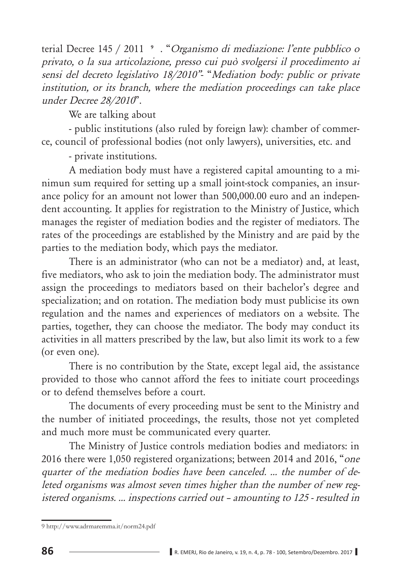terial Decree 145 / 2011 <sup>, "</sup>Organismo di mediazione: l'ente pubblico o privato, o la sua articolazione, presso cui può svolgersi il procedimento ai *sensi del decreto legislativo 18/2010"*- "Mediation body: public or private institution, or its branch, where the mediation proceedings can take place under Decree 28/2010".

We are talking about

- public institutions (also ruled by foreign law): chamber of commerce, council of professional bodies (not only lawyers), universities, etc. and

- private institutions.

A mediation body must have a registered capital amounting to a minimun sum required for setting up a small joint-stock companies, an insurance policy for an amount not lower than  $500,000.00$  euro and an independent accounting. It applies for registration to the Ministry of Justice, which manages the register of mediation bodies and the register of mediators. The rates of the proceedings are established by the Ministry and are paid by the parties to the mediation body, which pays the mediator.

There is an administrator (who can not be a mediator) and, at least, five mediators, who ask to join the mediation body. The administrator must assign the proceedings to mediators based on their bachelor's degree and specialization; and on rotation. The mediation body must publicise its own regulation and the names and experiences of mediators on a website. The parties, together, they can choose the mediator. The body may conduct its activities in all matters prescribed by the law, but also limit its work to a few (or even one).

There is no contribution by the State, except legal aid, the assistance provided to those who cannot afford the fees to initiate court proceedings or to defend themselves before a court.

The documents of every proceeding must be sent to the Ministry and the number of initiated proceedings, the results, those not yet completed and much more must be communicated every quarter.

The Ministry of Justice controls mediation bodies and mediators: in 2016 there were 1,050 registered organizations; between 2014 and 2016, "one quarter of the mediation bodies have been canceled. ... the number of deleted organisms was almost seven times higher than the number of new reg*istered organisms. ... inspections carried out – amounting to 125 - resulted in* 

<sup>9</sup> http://www.adrmaremma.it/norm24.pdf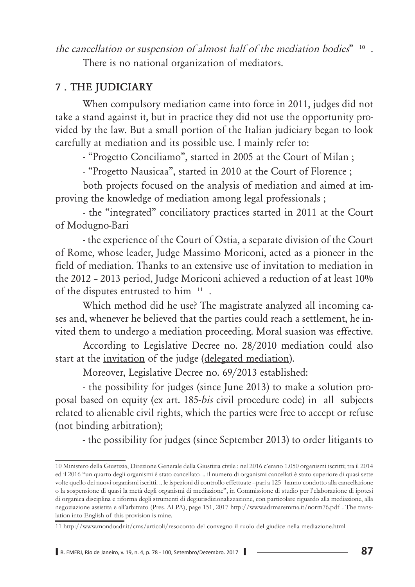*the cancellation or suspension of almost half of the mediation bodies*"<sup>10</sup>. There is no national organization of mediators.

## **7. THE JUDICIARY**

When compulsory mediation came into force in 2011, judges did not take a stand against it, but in practice they did not use the opportunity provided by the law. But a small portion of the Italian judiciary began to look carefully at mediation and its possible use. I mainly refer to:

- "Progetto Conciliamo", started in 2005 at the Court of Milan;

- "Progetto Nausicaa", started in 2010 at the Court of Florence;

both projects focused on the analysis of mediation and aimed at improving the knowledge of mediation among legal professionals;

- the "integrated" conciliatory practices started in 2011 at the Court of Modugno-Bari

- the experience of the Court of Ostia, a separate division of the Court of Rome, whose leader, Judge Massimo Moriconi, acted as a pioneer in the field of mediation. Thanks to an extensive use of invitation to mediation in the  $2012$  –  $2013$  period, Judge Moriconi achieved a reduction of at least  $10\%$ of the disputes entrusted to him<sup>11</sup>.

Which method did he use? The magistrate analyzed all incoming cases and, whenever he believed that the parties could reach a settlement, he invited them to undergo a mediation proceeding. Moral suasion was effective.

According to Legislative Decree no. 28/2010 mediation could also start at the invitation of the judge (delegated mediation).

Moreover, Legislative Decree no. 69/2013 established:

- the possibility for judges (since June 2013) to make a solution proposal based on equity (ex art. 185-bis civil procedure code) in all subjects related to alienable civil rights, which the parties were free to accept or refuse (not binding arbitration);

- the possibility for judges (since September 2013) to order litigants to

<sup>10</sup> Ministero della Giustizia, Direzione Generale della Giustizia civile : nel 2016 c'erano 1.050 organismi iscritti; tra il 2014 ed il 2016 "un quarto degli organismi è stato cancellato. .. il numero di organismi cancellati è stato superiore di quasi sette volte quello dei nuovi organismi iscritti. .. le ispezioni di controllo effettuate –pari a 125- hanno condotto alla cancellazione o la sospensione di quasi la metà degli organismi di mediazione", in Commissione di studio per l'elaborazione di ipotesi di organica disciplina e riforma degli strumenti di degiurisdizionalizzazione, con particolare riguardo alla mediazione, alla negoziazione assistita e all'arbitrato (Pres. ALPA), page 151, 2017 http://www.adrmaremma.it/norm76.pdf . The translation into English of this provision is mine.

<sup>11</sup> http://www.mondoadr.it/cms/articoli/resoconto-del-convegno-il-ruolo-del-giudice-nella-mediazione.html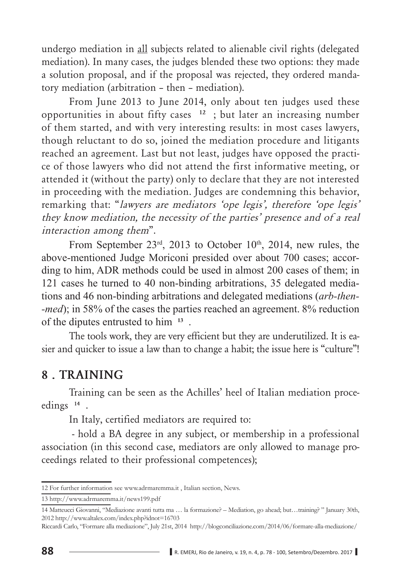undergo mediation in all subjects related to alienable civil rights (delegated mediation). In many cases, the judges blended these two options: they made a solution proposal, and if the proposal was rejected, they ordered mandatory mediation (arbitration - then - mediation).

From June 2013 to June 2014, only about ten judges used these opportunities in about fifty cases  $12$ ; but later an increasing number of them started, and with very interesting results: in most cases lawyers, though reluctant to do so, joined the mediation procedure and litigants reached an agreement. Last but not least, judges have opposed the practice of those lawyers who did not attend the first informative meeting, or attended it (without the party) only to declare that they are not interested in proceeding with the mediation. Judges are condemning this behavior, remarking that: "*lawyers are mediators 'ope legis'*, *therefore 'ope legis' they know mediation, the necessity of the parties' presence and of a real interaction among them*".

From September  $23^{\text{rd}}$ ,  $2013$  to October 10<sup>th</sup>, 2014, new rules, the above-mentioned Judge Moriconi presided over about 700 cases; according to him, ADR methods could be used in almost 200 cases of them; in 121 cases he turned to 40 non-binding arbitrations, 35 delegated mediations and 46 non-binding arbitrations and delegated mediations (arb-then-*Phed*); in 58% of the cases the parties reached an agreement. 8% reduction of the diputes entrusted to him  $13$ .

The tools work, they are very efficient but they are underutilized. It is easier and quicker to issue a law than to change a habit; the issue here is "culture"!

## **8. TRAINING**

Training can be seen as the Achilles' heel of Italian mediation proceedings<sup>14</sup>.

In Italy, certified mediators are required to:

- hold a BA degree in any subject, or membership in a professional association (in this second case, mediators are only allowed to manage proceedings related to their professional competences);

<sup>12</sup> For further information see www.adrmaremma.it, Italian section, News.

<sup>13</sup> http://www.adrmaremma.it/news199.pdf

<sup>14</sup> Matteucci Giovanni, "Mediazione avanti tutta ma ... la formazione? – Mediation, go ahead; but...training?" January 30th, 2012 http://www.altalex.com/index.php?idnot=16703

Riccardi Carlo, "Formare alla mediazione", July 21st, 2014 http://blogconciliazione.com/2014/06/formare-alla-mediazione/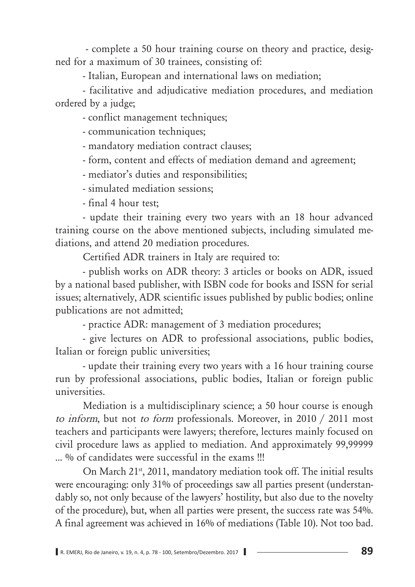- complete a 50 hour training course on theory and practice, designed for a maximum of 30 trainees, consisting of:

- Italian, European and international laws on mediation;

- facilitative and adjudicative mediation procedures, and mediation ordered by a judge;

- conflict management techniques;

- communication techniques;

- mandatory mediation contract clauses;

- form, content and effects of mediation demand and agreement;

- mediator's duties and responsibilities;

- simulated mediation sessions:

- final 4 hour test:

- update their training every two years with an 18 hour advanced training course on the above mentioned subjects, including simulated mediations, and attend 20 mediation procedures.

Certified ADR trainers in Italy are required to:

- publish works on ADR theory: 3 articles or books on ADR, issued by a national based publisher, with ISBN code for books and ISSN for serial issues; alternatively, ADR scientific issues published by public bodies; online publications are not admitted;

- practice ADR: management of 3 mediation procedures;

- give lectures on ADR to professional associations, public bodies, Italian or foreign public universities;

- update their training every two years with a 16 hour training course run by professional associations, public bodies, Italian or foreign public  $universities.$ 

Mediation is a multidisciplinary science; a 50 hour course is enough *to inform*, but not *to form* professionals. Moreover, in 2010 / 2011 most teachers and participants were lawyers; therefore, lectures mainly focused on civil procedure laws as applied to mediation. And approximately 99,99999 ... % of candidates were successful in the exams !!!

On March 21<sup>st</sup>, 2011, mandatory mediation took off. The initial results were encouraging: only 31% of proceedings saw all parties present (understandably so, not only because of the lawyers' hostility, but also due to the novelty of the procedure), but, when all parties were present, the success rate was 54%. A final agreement was achieved in 16% of mediations (Table 10). Not too bad.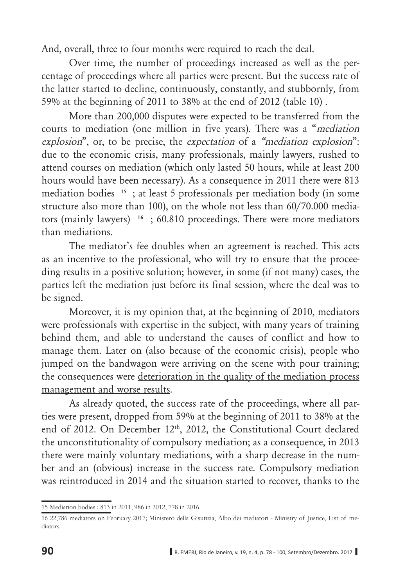And, overall, three to four months were required to reach the deal.

Over time, the number of proceedings increased as well as the percentage of proceedings where all parties were present. But the success rate of the latter started to decline, continuously, constantly, and stubbornly, from 59% at the beginning of 2011 to 38% at the end of 2012 (table 10).

More than 200,000 disputes were expected to be transferred from the courts to mediation (one million in five years). There was a "*mediation explosion*", or, to be precise, the *expectation* of a "*mediation explosion*": due to the economic crisis, many professionals, mainly lawyers, rushed to attend courses on mediation (which only lasted 50 hours, while at least 200 hours would have been necessary). As a consequence in 2011 there were 813 mediation bodies  $15$ ; at least 5 professionals per mediation body (in some structure also more than 100), on the whole not less than 60/70.000 mediators (mainly lawyers)  $16$ ; 60.810 proceedings. There were more mediators than mediations.

The mediator's fee doubles when an agreement is reached. This acts as an incentive to the professional, who will try to ensure that the proceeding results in a positive solution; however, in some (if not many) cases, the parties left the mediation just before its final session, where the deal was to be signed.

Moreover, it is my opinion that, at the beginning of 2010, mediators were professionals with expertise in the subject, with many years of training behind them, and able to understand the causes of conflict and how to manage them. Later on (also because of the economic crisis), people who jumped on the bandwagon were arriving on the scene with pour training; the consequences were deterioration in the quality of the mediation process management and worse results.

As already quoted, the success rate of the proceedings, where all parties were present, dropped from 59% at the beginning of 2011 to 38% at the end of 2012. On December 12<sup>th</sup>, 2012, the Constitutional Court declared the unconstitutionality of compulsory mediation; as a consequence, in 2013 there were mainly voluntary mediations, with a sharp decrease in the number and an (obvious) increase in the success rate. Compulsory mediation was reintroduced in 2014 and the situation started to recover, thanks to the

<sup>15</sup> Mediation bodies : 813 in 2011, 986 in 2012, 778 in 2016.

<sup>16 22,786</sup> mediators on February 2017; Ministero della Gisutizia, Albo dei mediatori - Ministry of Justice, List of mediators.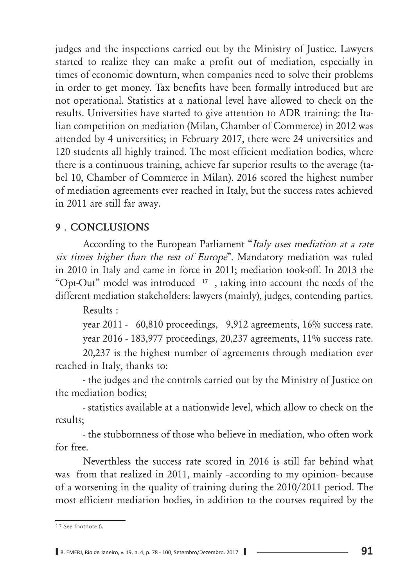judges and the inspections carried out by the Ministry of Justice. Lawyers started to realize they can make a profit out of mediation, especially in times of economic downturn, when companies need to solve their problems in order to get money. Tax benefits have been formally introduced but are not operational. Statistics at a national level have allowed to check on the results. Universities have started to give attention to ADR training: the Italian competition on mediation (Milan, Chamber of Commerce) in 2012 was attended by 4 universities; in February 2017, there were 24 universities and 120 students all highly trained. The most efficient mediation bodies, where there is a continuous training, achieve far superior results to the average (tabel 10, Chamber of Commerce in Milan). 2016 scored the highest number of mediation agreements ever reached in Italy, but the success rates achieved in 2011 are still far away.

#### **9. CONCLUSIONS**

According to the European Parliament "Italy uses mediation at a rate *six times higher than the rest of Europe*". Mandatory mediation was ruled in 2010 in Italy and came in force in 2011; mediation took-off. In 2013 the "Opt-Out" model was introduced <sup>17</sup>, taking into account the needs of the different mediation stakeholders: lawyers (mainly), judges, contending parties.

Results:

year 2011 -  $60,810$  proceedings,  $9,912$  agreements, 16% success rate. year 2016 - 183,977 proceedings, 20,237 agreements,  $11\%$  success rate.

20,237 is the highest number of agreements through mediation ever reached in Italy, thanks to:

- the judges and the controls carried out by the Ministry of Justice on the mediation bodies:

- statistics available at a nationwide level, which allow to check on the results:

- the stubbornness of those who believe in mediation, who often work for free

Neverthless the success rate scored in 2016 is still far behind what was from that realized in 2011, mainly -according to my opinion- because of a worsening in the quality of training during the  $2010/2011$  period. The most efficient mediation bodies, in addition to the courses required by the

<sup>17</sup> See footnote 6.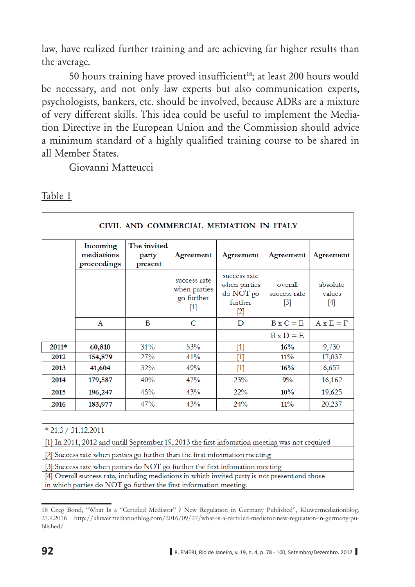law, have realized further training and are achieving far higher results than the average.

50 hours training have proved insufficient<sup>18</sup>; at least 200 hours would be necessary, and not only law experts but also communication experts, psychologists, bankers, etc. should be involved, because ADRs are a mixture of very different skills. This idea could be useful to implement the Mediation Directive in the European Union and the Commission should advice a minimum standard of a highly qualified training course to be shared in all Member States.

Giovanni Matteucci

|                                                                             | CIVIL AND COMMERCIAL MEDIATION IN ITALY                                                                                                                                                                                                        |     |     |     |     |        |  |  |
|-----------------------------------------------------------------------------|------------------------------------------------------------------------------------------------------------------------------------------------------------------------------------------------------------------------------------------------|-----|-----|-----|-----|--------|--|--|
|                                                                             | The invited<br>Incoming<br>mediations<br>Agreement<br>Agreement<br>Agreement<br>Agreement<br>party<br>proceedings<br>present                                                                                                                   |     |     |     |     |        |  |  |
|                                                                             | success rate<br>success rate<br>when parties<br>absolute<br>overall<br>when parties<br>do NOT go<br>values<br>success rate<br>go further<br>further<br>$[3]$<br>$[4]$<br>$[1]$<br>$[2]$                                                        |     |     |     |     |        |  |  |
|                                                                             | $B \times C = E$<br>$A \times E = F$<br>$\mathbf C$<br>B<br>D<br>$\mathsf{A}$                                                                                                                                                                  |     |     |     |     |        |  |  |
|                                                                             | $B \times D = E$                                                                                                                                                                                                                               |     |     |     |     |        |  |  |
| 2011*                                                                       | 53%<br>9,730<br>31%<br>16%<br>60,810<br>$[1]$                                                                                                                                                                                                  |     |     |     |     |        |  |  |
| 2012                                                                        | 27%<br>41%<br>$11\%$<br>154,879<br>17,037<br>$[1] % \includegraphics[width=0.9\columnwidth]{figures/fig_10.pdf} \caption{The figure shows the number of times, and the number of times, and the number of times, respectively.} \label{fig:2}$ |     |     |     |     |        |  |  |
| 2013                                                                        | 32%<br>49%<br>16%<br>41,604<br>6,657<br>$[1]$                                                                                                                                                                                                  |     |     |     |     |        |  |  |
| 2014                                                                        | 179,587                                                                                                                                                                                                                                        | 40% | 47% | 23% | 9%  | 16,162 |  |  |
| 2015                                                                        | 196,247                                                                                                                                                                                                                                        | 45% | 43% | 22% | 10% | 19,625 |  |  |
| 2016                                                                        | 43%<br>11%<br>20,237<br>47%<br>24%<br>183,977                                                                                                                                                                                                  |     |     |     |     |        |  |  |
|                                                                             |                                                                                                                                                                                                                                                |     |     |     |     |        |  |  |
|                                                                             | $*$ 21.3 / 31.12.2011                                                                                                                                                                                                                          |     |     |     |     |        |  |  |
|                                                                             | [1] In 2011, 2012 and untill September 19, 2013 the first information meeting was not required                                                                                                                                                 |     |     |     |     |        |  |  |
| [2] Success rate when parties go further than the first information meeting |                                                                                                                                                                                                                                                |     |     |     |     |        |  |  |
|                                                                             | [3] Success rate when parties do NOT go further the first infomation meeting                                                                                                                                                                   |     |     |     |     |        |  |  |
|                                                                             | [4] Overall success rata, including mediations in which invited party is not present and those<br>in which parties do NOT go further the first information meeting.                                                                            |     |     |     |     |        |  |  |

<sup>18</sup> Greg Bond, "What Is a "Certified Mediator" ? New Regulation in Germany Published", Kluwermediationblog, 27.9.2016 http://kluwermediationblog.com/2016/09/27/what-is-a-certified-mediator-new-regulation-in-germany-published/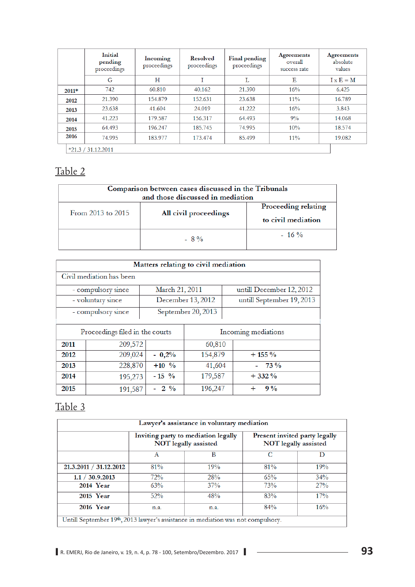|         | Initial<br>pending<br>proceedings | Incoming<br>proceedings | <b>Resolved</b><br>proceedings | Final pending<br>proceedings | <b>Agreements</b><br>overall<br>success rate | <b>Agreements</b><br>absolute<br>values |
|---------|-----------------------------------|-------------------------|--------------------------------|------------------------------|----------------------------------------------|-----------------------------------------|
|         | G                                 | Н                       | T                              | L                            | Е                                            | $I \times E = M$                        |
| $2011*$ | 742                               | 60.810                  | 40.162                         | 21.390                       | 16%                                          | 6.425                                   |
| 2012    | 21.390                            | 154.879                 | 152.631                        | 23.638                       | $11\%$                                       | 16.789                                  |
| 2013    | 23.638                            | 41.604                  | 24.019                         | 41.222                       | 16%                                          | 3.843                                   |
| 2014    | 41.223                            | 179.587                 | 156.317                        | 64.493                       | 9%                                           | 14.068                                  |
| 2015    | 64.493                            | 196.247                 | 185.745                        | 74.995                       | 10%                                          | 18.574                                  |
| 2016    | 74.995                            | 183.977                 | 173.474                        | 85.499                       | $11\%$                                       | 19.082                                  |
|         | $*21.3 / 31.12.2011$              |                         |                                |                              |                                              |                                         |

| Comparison between cases discussed in the Tribunals<br>and those discussed in mediation |                       |                                           |  |  |
|-----------------------------------------------------------------------------------------|-----------------------|-------------------------------------------|--|--|
| From 2013 to 2015                                                                       | All civil proceedings | Proceeding relating<br>to civil mediation |  |  |
|                                                                                         | $-8\%$                | $-16\%$                                   |  |  |

|                                 | Matters relating to civil mediation |                    |                   |                           |  |  |
|---------------------------------|-------------------------------------|--------------------|-------------------|---------------------------|--|--|
|                                 | Civil mediation has been            |                    |                   |                           |  |  |
|                                 | - compulsory since                  | March 21, 2011     |                   | untill December 12, 2012  |  |  |
|                                 | - voluntary since                   |                    | December 13, 2012 | untill September 19, 2013 |  |  |
|                                 | - compulsory since                  | September 20, 2013 |                   |                           |  |  |
| Proceedings filed in the courts |                                     |                    |                   | Incoming mediations       |  |  |
| 2011                            | 209,572                             |                    | 60,810            |                           |  |  |
| 2012                            | 209,024                             | $-0,2%$            | 154,879           | $+155%$                   |  |  |
| 2013                            | 228,870                             | $+10\%$            | 41,604            | $-73\%$                   |  |  |
| 2014                            | 195,273                             | $-15\frac{9}{6}$   | 179,587           | $+332\%$                  |  |  |
| 2015                            | 191,587                             | $-2\frac{9}{6}$    | 196,247           | $9\%$                     |  |  |

| Lawyer's assistance in voluntary mediation                                       |                                                                                                                      |  |  |  |  |  |  |
|----------------------------------------------------------------------------------|----------------------------------------------------------------------------------------------------------------------|--|--|--|--|--|--|
|                                                                                  | Inviting party to mediation legally<br>Present invited party legally<br>NOT legally assisted<br>NOT legally assisted |  |  |  |  |  |  |
|                                                                                  | C<br>в<br>D<br>А                                                                                                     |  |  |  |  |  |  |
| 21.3.2011 / 31.12.2012                                                           | 81%<br>19%<br>81%<br>19%                                                                                             |  |  |  |  |  |  |
| 1.1 / 30.9.2013                                                                  | 28%<br>72%<br>34%<br>65%                                                                                             |  |  |  |  |  |  |
| 73%<br>27%<br>2014 Year<br>37%<br>63%                                            |                                                                                                                      |  |  |  |  |  |  |
| 83%<br>17%<br>52%<br>48%<br>2015 Year                                            |                                                                                                                      |  |  |  |  |  |  |
| 2016 Year<br>84%<br>16%<br>n.a.<br>n.a.                                          |                                                                                                                      |  |  |  |  |  |  |
| Untill September 19th, 2013 lawyer's assistance in mediation was not compulsory. |                                                                                                                      |  |  |  |  |  |  |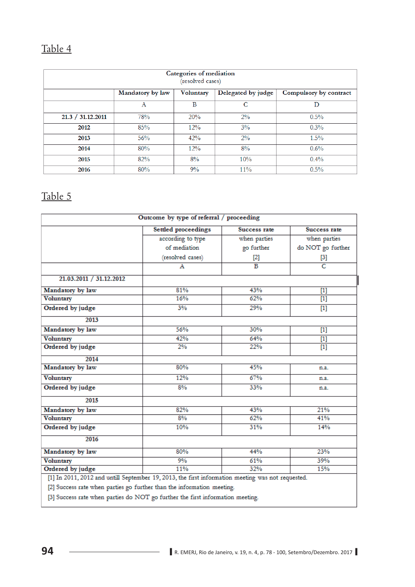|                   | Categories of mediation<br>(resolved cases) |           |                    |                        |  |  |
|-------------------|---------------------------------------------|-----------|--------------------|------------------------|--|--|
|                   | Mandatory by law                            | Voluntary | Delegated by judge | Compulsory by contract |  |  |
|                   | A                                           | B         | C                  | D                      |  |  |
| 21.3 / 31.12.2011 | 78%                                         | 20%       | $2\%$              | 0.5%                   |  |  |
| 2012              | 85%                                         | 12%       | 3%                 | 0.3%                   |  |  |
| 2013              | 56%                                         | 42%       | $2\%$              | 1.5%                   |  |  |
| 2014              | 80%                                         | 12%       | 8%                 | 0.6%                   |  |  |
| 2015              | 82%                                         | 8%        | 10%                | $0.4\%$                |  |  |
| 2016              | 80%                                         | 9%        | $11\%$             | 0.5%                   |  |  |

| according to type<br>when parties<br>when parties<br>of mediation<br>go further<br>(resolved cases)<br>$[2]$<br>$^{[3]}$<br>$\overline{c}$<br>$\overline{B}$<br>А<br>21.03.2011 / 31.12.2012<br>Mandatory by law<br>81%<br>43%<br>$[1]$<br>16%<br>62%<br><b>Voluntary</b><br>$[1]$<br>Ordered by judge<br>3%<br>29%<br>$[1]$<br>2013<br>56%<br>30%<br>Mandatory by law<br>$[1]$<br><b>Voluntary</b><br>42%<br>64%<br>$[1]$<br>Ordered by judge<br>2%<br>22%<br>$[1]$<br>2014<br>80%<br>45%<br>Mandatory by law<br>n.a.<br>12%<br>67%<br><b>Voluntary</b><br>n.a.<br>8%<br>33%<br>Ordered by judge<br>n.a.<br>2015<br>Mandatory by law<br>82%<br>43%<br>21%<br>8%<br>62%<br><b>Voluntary</b><br>41%<br>10%<br>31%<br>14%<br>Ordered by judge<br>2016<br>80%<br>44%<br>23%<br>Mandatory by law<br><b>Voluntary</b><br>9%<br>61%<br>39%<br>Ordered by judge<br>11%<br>15%<br>32% |                                                                        | <b>Settled proceedings</b> | Success rate | Success rate      |
|-------------------------------------------------------------------------------------------------------------------------------------------------------------------------------------------------------------------------------------------------------------------------------------------------------------------------------------------------------------------------------------------------------------------------------------------------------------------------------------------------------------------------------------------------------------------------------------------------------------------------------------------------------------------------------------------------------------------------------------------------------------------------------------------------------------------------------------------------------------------------------|------------------------------------------------------------------------|----------------------------|--------------|-------------------|
|                                                                                                                                                                                                                                                                                                                                                                                                                                                                                                                                                                                                                                                                                                                                                                                                                                                                               |                                                                        |                            |              |                   |
|                                                                                                                                                                                                                                                                                                                                                                                                                                                                                                                                                                                                                                                                                                                                                                                                                                                                               |                                                                        |                            |              | do NOT go further |
|                                                                                                                                                                                                                                                                                                                                                                                                                                                                                                                                                                                                                                                                                                                                                                                                                                                                               |                                                                        |                            |              |                   |
|                                                                                                                                                                                                                                                                                                                                                                                                                                                                                                                                                                                                                                                                                                                                                                                                                                                                               |                                                                        |                            |              |                   |
|                                                                                                                                                                                                                                                                                                                                                                                                                                                                                                                                                                                                                                                                                                                                                                                                                                                                               |                                                                        |                            |              |                   |
|                                                                                                                                                                                                                                                                                                                                                                                                                                                                                                                                                                                                                                                                                                                                                                                                                                                                               |                                                                        |                            |              |                   |
|                                                                                                                                                                                                                                                                                                                                                                                                                                                                                                                                                                                                                                                                                                                                                                                                                                                                               |                                                                        |                            |              |                   |
|                                                                                                                                                                                                                                                                                                                                                                                                                                                                                                                                                                                                                                                                                                                                                                                                                                                                               |                                                                        |                            |              |                   |
|                                                                                                                                                                                                                                                                                                                                                                                                                                                                                                                                                                                                                                                                                                                                                                                                                                                                               |                                                                        |                            |              |                   |
|                                                                                                                                                                                                                                                                                                                                                                                                                                                                                                                                                                                                                                                                                                                                                                                                                                                                               |                                                                        |                            |              |                   |
|                                                                                                                                                                                                                                                                                                                                                                                                                                                                                                                                                                                                                                                                                                                                                                                                                                                                               |                                                                        |                            |              |                   |
|                                                                                                                                                                                                                                                                                                                                                                                                                                                                                                                                                                                                                                                                                                                                                                                                                                                                               |                                                                        |                            |              |                   |
|                                                                                                                                                                                                                                                                                                                                                                                                                                                                                                                                                                                                                                                                                                                                                                                                                                                                               |                                                                        |                            |              |                   |
|                                                                                                                                                                                                                                                                                                                                                                                                                                                                                                                                                                                                                                                                                                                                                                                                                                                                               |                                                                        |                            |              |                   |
|                                                                                                                                                                                                                                                                                                                                                                                                                                                                                                                                                                                                                                                                                                                                                                                                                                                                               |                                                                        |                            |              |                   |
|                                                                                                                                                                                                                                                                                                                                                                                                                                                                                                                                                                                                                                                                                                                                                                                                                                                                               |                                                                        |                            |              |                   |
|                                                                                                                                                                                                                                                                                                                                                                                                                                                                                                                                                                                                                                                                                                                                                                                                                                                                               |                                                                        |                            |              |                   |
|                                                                                                                                                                                                                                                                                                                                                                                                                                                                                                                                                                                                                                                                                                                                                                                                                                                                               |                                                                        |                            |              |                   |
|                                                                                                                                                                                                                                                                                                                                                                                                                                                                                                                                                                                                                                                                                                                                                                                                                                                                               |                                                                        |                            |              |                   |
|                                                                                                                                                                                                                                                                                                                                                                                                                                                                                                                                                                                                                                                                                                                                                                                                                                                                               |                                                                        |                            |              |                   |
|                                                                                                                                                                                                                                                                                                                                                                                                                                                                                                                                                                                                                                                                                                                                                                                                                                                                               |                                                                        |                            |              |                   |
|                                                                                                                                                                                                                                                                                                                                                                                                                                                                                                                                                                                                                                                                                                                                                                                                                                                                               |                                                                        |                            |              |                   |
|                                                                                                                                                                                                                                                                                                                                                                                                                                                                                                                                                                                                                                                                                                                                                                                                                                                                               |                                                                        |                            |              |                   |
|                                                                                                                                                                                                                                                                                                                                                                                                                                                                                                                                                                                                                                                                                                                                                                                                                                                                               |                                                                        |                            |              |                   |
|                                                                                                                                                                                                                                                                                                                                                                                                                                                                                                                                                                                                                                                                                                                                                                                                                                                                               | [2] Success rate when parties go further than the information meeting. |                            |              |                   |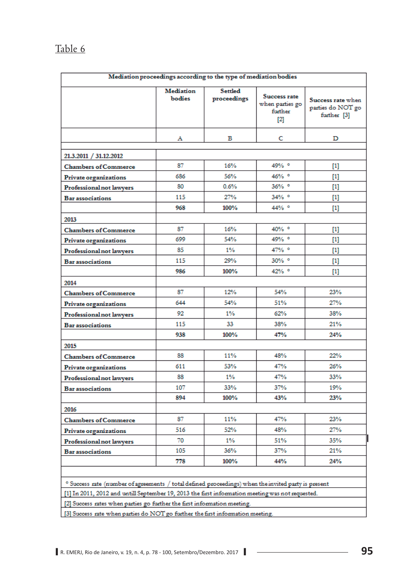|                                                                                                     |                     | Mediation proceedings according to the type of mediation bodies |                                                     |                                                                                                                                                                                                                    |  |
|-----------------------------------------------------------------------------------------------------|---------------------|-----------------------------------------------------------------|-----------------------------------------------------|--------------------------------------------------------------------------------------------------------------------------------------------------------------------------------------------------------------------|--|
|                                                                                                     | Mediation<br>bodies | <b>Settled</b><br>proceedings                                   | Success rate<br>when parties go<br>further<br>$[2]$ | Success rate when<br>parties do NOT go<br>further [3]                                                                                                                                                              |  |
|                                                                                                     | Α                   | в                                                               | C                                                   | D                                                                                                                                                                                                                  |  |
| 21.3.2011 / 31.12.2012                                                                              |                     |                                                                 |                                                     |                                                                                                                                                                                                                    |  |
| <b>Chambers of Commerce</b>                                                                         | 87                  | 16%                                                             | 49% °                                               | $\begin{bmatrix} 1 \end{bmatrix}$                                                                                                                                                                                  |  |
| Private organizations                                                                               | 686                 | 56%                                                             | 46% °                                               |                                                                                                                                                                                                                    |  |
| Professional not lawyers                                                                            | 80                  | 0.6%                                                            | 36% °                                               | $[1] % \centering \includegraphics[width=0.9\columnwidth]{figures/fig_10.pdf} \caption{The graph of the top of the top of the top of the right. The left is the number of the top of the right.} \label{fig:time}$ |  |
| <b>Bar</b> associations                                                                             | 115                 | 27%                                                             | 34% °                                               | $[1] % \centering \includegraphics[width=0.9\columnwidth]{figures/fig_10.pdf} \caption{The graph of the top of the top of the top of the right. The left is the number of the top of the right.} \label{fig:time}$ |  |
|                                                                                                     | 968                 | 100%                                                            | 44% °                                               | $[1] % \centering \includegraphics[width=0.9\columnwidth]{figures/fig_10.pdf} \caption{The graph of the top of the top of the top of the right. The left is the number of the top of the right.} \label{fig:time}$ |  |
| 2013                                                                                                |                     |                                                                 |                                                     |                                                                                                                                                                                                                    |  |
| <b>Chambers of Commerce</b>                                                                         | 87                  | 16%                                                             | 40% °                                               |                                                                                                                                                                                                                    |  |
| Private organizations                                                                               | 699                 | 54%                                                             | 49% °                                               | $[1] % \centering \includegraphics[width=0.9\columnwidth]{figures/fig_10.pdf} \caption{The graph of the top of the top of the top of the right. The left is the number of the top of the right.} \label{fig:time}$ |  |
| Professional not lawyers                                                                            | 85                  | $1\%$                                                           | 47% °                                               | $\left[1\right]$                                                                                                                                                                                                   |  |
| <b>Bar</b> associations                                                                             | 115                 | 29%                                                             | 30% °                                               | $\left[1\right]$                                                                                                                                                                                                   |  |
|                                                                                                     | 986                 | 100%                                                            | $42\%$ $^{\circ}$                                   |                                                                                                                                                                                                                    |  |
| 2014                                                                                                |                     |                                                                 |                                                     |                                                                                                                                                                                                                    |  |
| <b>Chambers of Commerce</b>                                                                         | 87                  | 12%                                                             | 54%                                                 | 23%                                                                                                                                                                                                                |  |
| Private organizations                                                                               | 644                 | 54%                                                             | 51%                                                 | 27%                                                                                                                                                                                                                |  |
| Professional not lawyers                                                                            | 92                  | $1\%$                                                           | 62%                                                 | 38%                                                                                                                                                                                                                |  |
| <b>Bar</b> associations                                                                             | 115                 | 33                                                              | 38%                                                 | 21%                                                                                                                                                                                                                |  |
|                                                                                                     | 938                 | 100%                                                            | 47%                                                 | 24%                                                                                                                                                                                                                |  |
| 2015                                                                                                |                     |                                                                 |                                                     |                                                                                                                                                                                                                    |  |
| <b>Chambers of Commerce</b>                                                                         | 88                  | 11%                                                             | 48%                                                 | 22%                                                                                                                                                                                                                |  |
| Private organizations                                                                               | 611                 | 53%                                                             | 47%                                                 | 26%                                                                                                                                                                                                                |  |
| Professional not lawyers                                                                            | 88                  | $1\%$                                                           | 47%                                                 | 33%                                                                                                                                                                                                                |  |
| <b>Bar</b> associations                                                                             | 107                 | 33%                                                             | 37%                                                 | 19%                                                                                                                                                                                                                |  |
|                                                                                                     | 894                 | 100%                                                            | 43%                                                 | 23%                                                                                                                                                                                                                |  |
| 2016                                                                                                |                     |                                                                 |                                                     |                                                                                                                                                                                                                    |  |
| <b>Chambers of Commerce</b>                                                                         | 87                  | 11%                                                             | 47%                                                 | 23%                                                                                                                                                                                                                |  |
| Private organizations                                                                               | 516                 | 52%                                                             | 48%                                                 | 27%                                                                                                                                                                                                                |  |
| Professional not lawyers                                                                            | 70                  | $1\%$                                                           | 51%                                                 | 35%                                                                                                                                                                                                                |  |
| <b>Bar</b> associations                                                                             | 105                 | 36%                                                             | 37%                                                 | 21%                                                                                                                                                                                                                |  |
|                                                                                                     | 778                 | 100%                                                            | 44%                                                 | 24%                                                                                                                                                                                                                |  |
|                                                                                                     |                     |                                                                 |                                                     |                                                                                                                                                                                                                    |  |
| ° Success rate (number of agreements / total defined proceedings) when the invited party is present |                     |                                                                 |                                                     |                                                                                                                                                                                                                    |  |
| [1] In 2011, 2012 and untill September 19, 2013 the first information meeting was not requested.    |                     |                                                                 |                                                     |                                                                                                                                                                                                                    |  |
|                                                                                                     |                     |                                                                 |                                                     |                                                                                                                                                                                                                    |  |

[2] Success rates when parties go further the first information meeting.

[3] Success rate when parties do NOT go further the first information meeting.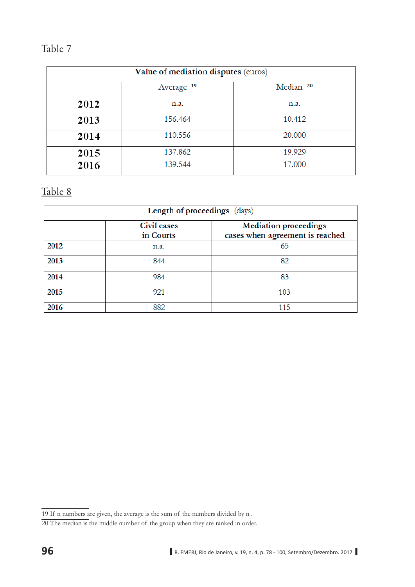|      | Value of mediation disputes (euros)           |        |  |  |  |  |
|------|-----------------------------------------------|--------|--|--|--|--|
|      | Median <sup>20</sup><br>Average <sup>19</sup> |        |  |  |  |  |
| 2012 | n.a.                                          | n.a.   |  |  |  |  |
| 2013 | 156.464                                       | 10.412 |  |  |  |  |
| 2014 | 110.556                                       | 20.000 |  |  |  |  |
| 2015 | 137.862                                       | 19.929 |  |  |  |  |
| 2016 | 139.544                                       | 17.000 |  |  |  |  |

| Length of proceedings (days) |                          |                                                                 |  |  |
|------------------------------|--------------------------|-----------------------------------------------------------------|--|--|
|                              | Civil cases<br>in Courts | <b>Mediation proceedings</b><br>cases when agreement is reached |  |  |
| 2012                         | n.a.                     | 65                                                              |  |  |
| 2013                         | 844                      | 82                                                              |  |  |
| 2014                         | 984                      | 83                                                              |  |  |
| 2015                         | 921                      | 103                                                             |  |  |
| 2016                         | 882                      | 115                                                             |  |  |

<sup>19</sup> If n numbers are given, the average is the sum of the numbers divided by n .

<sup>20</sup> The median is the middle number of the group when they are ranked in order.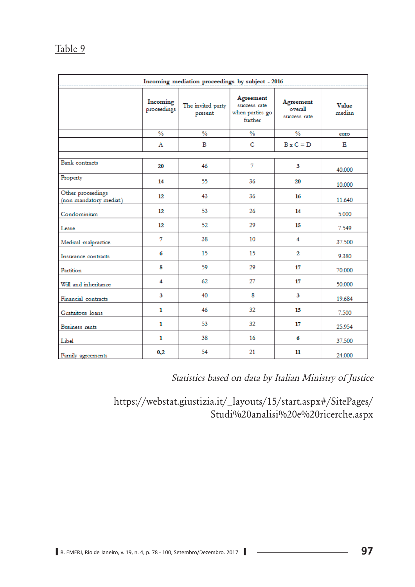| Incoming mediation proceedings by subject - 2016 |                         |                              |                                                         |                                      |                 |
|--------------------------------------------------|-------------------------|------------------------------|---------------------------------------------------------|--------------------------------------|-----------------|
|                                                  | Incoming<br>proceedings | The invited party<br>present | Agreement<br>success rate<br>when parties go<br>further | Agreement<br>overall<br>success rate | Value<br>median |
|                                                  | $\frac{0}{6}$           | $\frac{0}{2}$                | $\frac{0}{\alpha}$                                      | $\frac{0}{2}$                        | euro            |
|                                                  | $\mathbf{A}$            | B                            | C                                                       | $B \times C = D$                     | Е               |
|                                                  |                         |                              |                                                         |                                      |                 |
| <b>Bank</b> contracts                            | 20                      | 46                           | 7                                                       | 3                                    | 40.000          |
| Property                                         | 14                      | 55                           | 36                                                      | 20                                   | 10.000          |
| Other proceedings<br>(non mandatory mediat.)     | 12                      | 43                           | 36                                                      | 16                                   | 11.640          |
| Condominium                                      | 12                      | 53                           | 26                                                      | 14                                   | 5.000           |
| Lease                                            | 12                      | 52                           | 29                                                      | 15                                   | 7.549           |
| Medical malpractice                              | 7                       | 38                           | 10                                                      | 4                                    | 37.500          |
| Insurance contracts                              | 6                       | 15                           | 15                                                      | $\mathbf{2}$                         | 9.380           |
| Partition                                        | 5                       | 59                           | 29                                                      | 17                                   | 70.000          |
| Will and inheritance                             | 4                       | 62                           | 27                                                      | 17                                   | 50,000          |
| Financial contracts                              | 3                       | 40                           | 8                                                       | 3                                    | 19.684          |
| Gratuitous loans                                 | 1                       | 46                           | $32^{\circ}$                                            | 15                                   | 7.500           |
| Business rents                                   | 1                       | 53                           | 32                                                      | 17                                   | 25.954          |
| Libel                                            | $\mathbf{1}$            | 38                           | 16                                                      | 6                                    | 37.500          |
| Family agreements                                | 0,2                     | 54                           | 21                                                      | 11                                   | 24.000          |

Statistics based on data by Italian Ministry of Justice

https://webstat.giustizia.it/\_layouts/15/start.aspx#/SitePages/ Studi%20analisi%20e%20ricerche.aspx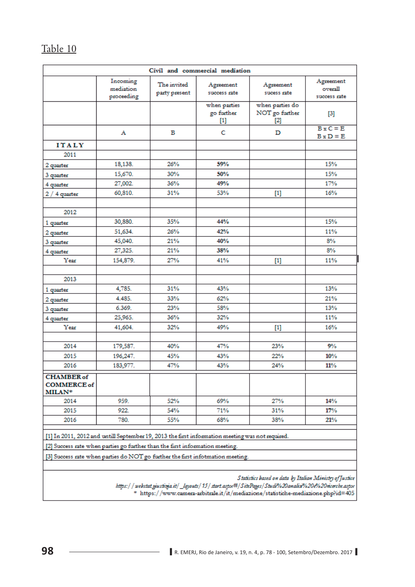| Civil and commercial mediation                                                                                                                                                                                                                                    |                                     |                              |                                                                                                                                                                                                                                                  |                                                                                                                                                                                                                    |                                      |
|-------------------------------------------------------------------------------------------------------------------------------------------------------------------------------------------------------------------------------------------------------------------|-------------------------------------|------------------------------|--------------------------------------------------------------------------------------------------------------------------------------------------------------------------------------------------------------------------------------------------|--------------------------------------------------------------------------------------------------------------------------------------------------------------------------------------------------------------------|--------------------------------------|
|                                                                                                                                                                                                                                                                   | Incoming<br>mediation<br>proceeding | The invited<br>party present | Agreement<br>success rate                                                                                                                                                                                                                        | Agreement<br>sucess rate                                                                                                                                                                                           | Agreement<br>overall<br>success rate |
|                                                                                                                                                                                                                                                                   |                                     |                              | when parties<br>go further<br>$[1] % \centering \includegraphics[width=0.9\columnwidth]{figures/fig_10.pdf} \caption{The graph of the top of the top of the top of the right. The left is the number of the top of the right.} \label{fig:time}$ | when parties do<br>NOT go further<br>[2]                                                                                                                                                                           | $\left[3\right]$                     |
|                                                                                                                                                                                                                                                                   | А                                   | в                            | c                                                                                                                                                                                                                                                | D                                                                                                                                                                                                                  | $B \times C = E$<br>$B \times D = E$ |
| <b>ITALY</b>                                                                                                                                                                                                                                                      |                                     |                              |                                                                                                                                                                                                                                                  |                                                                                                                                                                                                                    |                                      |
| 2011                                                                                                                                                                                                                                                              |                                     |                              |                                                                                                                                                                                                                                                  |                                                                                                                                                                                                                    |                                      |
| 2 quarter                                                                                                                                                                                                                                                         | 18,138.                             | 26%                          | 59%                                                                                                                                                                                                                                              |                                                                                                                                                                                                                    | 15%                                  |
| 3 quarter                                                                                                                                                                                                                                                         | 15,670.                             | 30%                          | 50%                                                                                                                                                                                                                                              |                                                                                                                                                                                                                    | 15%                                  |
| 4 quarter                                                                                                                                                                                                                                                         | 27,002.                             | 36%                          | 49%                                                                                                                                                                                                                                              |                                                                                                                                                                                                                    | 17%                                  |
| $2/4$ quarter                                                                                                                                                                                                                                                     | 60,810.                             | 31%                          | 53%                                                                                                                                                                                                                                              | $[1]$                                                                                                                                                                                                              | 16%                                  |
| 2012                                                                                                                                                                                                                                                              |                                     |                              |                                                                                                                                                                                                                                                  |                                                                                                                                                                                                                    |                                      |
| 1 quarter                                                                                                                                                                                                                                                         | 30,880.                             | 35%                          | 44%                                                                                                                                                                                                                                              |                                                                                                                                                                                                                    | 15%                                  |
| 2 quarter                                                                                                                                                                                                                                                         | 51,634.                             | 26%                          | 42%                                                                                                                                                                                                                                              |                                                                                                                                                                                                                    | 11%                                  |
| 3 quarter                                                                                                                                                                                                                                                         | 45,040.                             | 21%                          | 40%                                                                                                                                                                                                                                              |                                                                                                                                                                                                                    | 8%                                   |
| 4 quarter                                                                                                                                                                                                                                                         | 27,325.                             | 21%                          | 38%                                                                                                                                                                                                                                              |                                                                                                                                                                                                                    | 8%                                   |
| Year                                                                                                                                                                                                                                                              | 154,879.                            | 27%                          | 41%                                                                                                                                                                                                                                              | $[1]$                                                                                                                                                                                                              | 11%                                  |
| 2013                                                                                                                                                                                                                                                              |                                     |                              |                                                                                                                                                                                                                                                  |                                                                                                                                                                                                                    |                                      |
|                                                                                                                                                                                                                                                                   |                                     | 31%                          | 43%                                                                                                                                                                                                                                              |                                                                                                                                                                                                                    | 13%                                  |
| 1 quarter                                                                                                                                                                                                                                                         | 4,785.                              |                              |                                                                                                                                                                                                                                                  |                                                                                                                                                                                                                    |                                      |
| 2 quarter                                                                                                                                                                                                                                                         | 4.485.<br>6.369.                    | 33%<br>23%                   | 62%<br>58%                                                                                                                                                                                                                                       |                                                                                                                                                                                                                    | 21%<br>13%                           |
| 3 quarter                                                                                                                                                                                                                                                         |                                     | 36%                          | 32%                                                                                                                                                                                                                                              |                                                                                                                                                                                                                    | 11%                                  |
| 4 quarter                                                                                                                                                                                                                                                         | 25,965.                             |                              |                                                                                                                                                                                                                                                  |                                                                                                                                                                                                                    |                                      |
| Year                                                                                                                                                                                                                                                              | 41,604.                             | 32%                          | 49%                                                                                                                                                                                                                                              | $[1] % \centering \includegraphics[width=0.9\columnwidth]{figures/fig_10.pdf} \caption{The graph of the top of the top of the top of the right. The left is the number of the top of the right.} \label{fig:time}$ | 16%                                  |
| 2014                                                                                                                                                                                                                                                              | 179,587.                            | 40%                          | 47%                                                                                                                                                                                                                                              | 23%                                                                                                                                                                                                                | 9%                                   |
| 2015                                                                                                                                                                                                                                                              | 196,247.                            | 45%                          | 43%                                                                                                                                                                                                                                              | 22%                                                                                                                                                                                                                | 10%                                  |
| 2016                                                                                                                                                                                                                                                              | 183,977.                            | 47%                          | 43%                                                                                                                                                                                                                                              | 24%                                                                                                                                                                                                                | 11%                                  |
| <b>CHAMBER</b> of<br><b>COMMERCE of</b><br><b>MILAN*</b>                                                                                                                                                                                                          |                                     |                              |                                                                                                                                                                                                                                                  |                                                                                                                                                                                                                    |                                      |
| 2014                                                                                                                                                                                                                                                              | 959.                                | 52%                          | 69%                                                                                                                                                                                                                                              | 27%                                                                                                                                                                                                                | 14%                                  |
| 2015                                                                                                                                                                                                                                                              | 922.                                | 54%                          | 71%                                                                                                                                                                                                                                              | 31%                                                                                                                                                                                                                | 17%                                  |
| 2016                                                                                                                                                                                                                                                              | 780.                                | 55%                          | 68%                                                                                                                                                                                                                                              | 38%                                                                                                                                                                                                                | 21%                                  |
| [1] In 2011, 2012 and untill September 19, 2013 the first information meeting was not required.<br>[2] Success rate when parties go further than the first information meeting.<br>[3] Success rate when parties do NOT go further the first infotmation meeting. |                                     |                              |                                                                                                                                                                                                                                                  |                                                                                                                                                                                                                    |                                      |
| Statistics based on data by Italian Ministry of Justice<br>https://webstat.giustisja.it/_layouts/15/start.aspor#/SitePages/Studi%20analisi%20e%20ricerche.aspor<br>* https://www.camera-arbitrale.it/it/mediazione/statistiche-mediazione.php?id=405              |                                     |                              |                                                                                                                                                                                                                                                  |                                                                                                                                                                                                                    |                                      |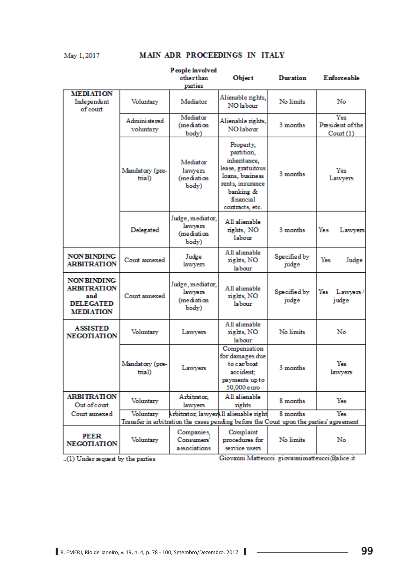#### May 1, 2017 MAIN ADR PROCEEDINGS IN ITALY

|                                                                                         |                                                                                        | People involved<br>otherthan                       | <b>Object</b>                                                                                                                                    | <b>Duration</b>       | Enforceable                         |
|-----------------------------------------------------------------------------------------|----------------------------------------------------------------------------------------|----------------------------------------------------|--------------------------------------------------------------------------------------------------------------------------------------------------|-----------------------|-------------------------------------|
|                                                                                         |                                                                                        | parties                                            |                                                                                                                                                  |                       |                                     |
| <b>MEDIATION</b><br>Independent<br>of court                                             | Voluntary                                                                              | Mediator                                           | Alienable rights,<br>NO labour                                                                                                                   | No limits             | No                                  |
|                                                                                         | Administered<br>voluntary                                                              | Mediator<br>(mediation<br>body)                    | Alienable rights,<br>NO labour                                                                                                                   | 3 months              | Yes<br>President of the<br>Count(1) |
|                                                                                         | Mandatory (pre-<br>trial)                                                              | Mediator<br>lawyers<br>(mediation<br>body)         | Property,<br>partition,<br>inheritance,<br>lease, gratuitous<br>loans, business<br>rents, insurance<br>banking &<br>financial<br>contracts, etc. | 3 months              | Yes<br>Lawyers                      |
|                                                                                         | Delegated                                                                              | Judge, mediator,<br>lawyers<br>(mediation<br>body) | All alienable<br>rights, NO<br>lahour                                                                                                            | 3 months              | Yes<br>Lawyers                      |
| <b>NON BINDING</b><br><b>ARBITRATION</b>                                                | Court annexed                                                                          | Judge<br>lawyers                                   | All alienable<br>rights, NO<br>labour                                                                                                            | Specified by<br>judge | Yes<br>Judge                        |
| <b>NON BINDING</b><br><b>ARBITRATION</b><br>and<br><b>DELEGATED</b><br><b>MEDIATION</b> | Court annexed                                                                          | Judge, mediator,<br>lawyers<br>(mediation<br>body) | All alienable<br>nights, NO<br>labour                                                                                                            | Specified by<br>judge | Yes<br>Lawyers/<br>judge            |
| <b>ASSISTED</b><br><b>NEGOTIATION</b>                                                   | Voluntary                                                                              | Lawyers                                            | All alienable<br>rights, NO<br>labour                                                                                                            | No limits             | No                                  |
|                                                                                         | Mandatory (pre-<br>trial)                                                              | Lawyers                                            | Compensation<br>for damages due<br>to car/boat<br>accident:<br>payments up to<br>50,000 euro                                                     | 3 months              | Yes<br>lawyers                      |
| <b>ARBITRATION</b><br>Out of court                                                      | Voluntary                                                                              | Arbitrator,<br>lawyers                             | All alienable<br>rights                                                                                                                          | 8 months              | Yes                                 |
| Court annexed                                                                           | Voluntary                                                                              |                                                    | Arbitrator, lawyerAll alienable right                                                                                                            | 8 months              | Yes                                 |
|                                                                                         | Transfer in arbitration the cases pending before the Court upon the parties' agreement |                                                    |                                                                                                                                                  |                       |                                     |
| PEER<br><b>NEGOTIATION</b>                                                              | Voluntary                                                                              | Companies,<br>Consumers'<br>associations           | Complaint<br>procedures for<br>service users                                                                                                     | No limits             | No                                  |

..(1) Under request by the parties

Giovanni Matteucci giovannimatteucci@alice.it